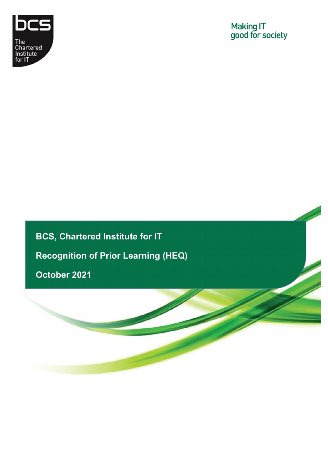

**BCS, Chartered Institute for IT Recognition of Prior Learning (HEQ) October 2021**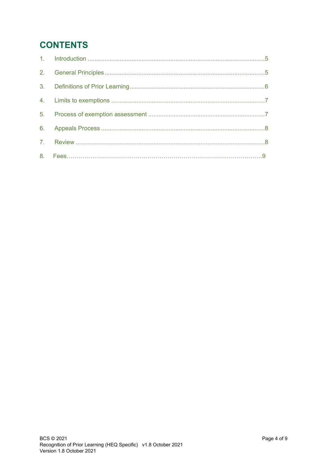# **CONTENTS**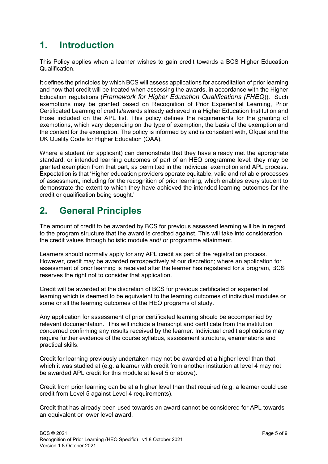# <span id="page-2-0"></span>**1. Introduction**

This Policy applies when a learner wishes to gain credit towards a BCS Higher Education Qualification.

It defines the principles by which BCS will assess applications for accreditation of prior learning and how that credit will be treated when assessing the awards, in accordance with the Higher Education regulations (*Framework for Higher Education Qualifications (FHEQ*)). Such exemptions may be granted based on Recognition of Prior Experiential Learning, Prior Certificated Learning of credits/awards already achieved in a Higher Education Institution and those included on the APL list. This policy defines the requirements for the granting of exemptions, which vary depending on the type of exemption, the basis of the exemption and the context for the exemption. The policy is informed by and is consistent with, Ofqual and the UK Quality Code for Higher Education (QAA).

Where a student (or applicant) can demonstrate that they have already met the appropriate standard, or intended learning outcomes of part of an HEQ programme level. they may be granted exemption from that part, as permitted in the Individual exemption and APL process. Expectation is that 'Higher education providers operate equitable, valid and reliable processes of assessment, including for the recognition of prior learning, which enables every student to demonstrate the extent to which they have achieved the intended learning outcomes for the credit or qualification being sought.'

# <span id="page-2-1"></span>**2. General Principles**

The amount of credit to be awarded by BCS for previous assessed learning will be in regard to the program structure that the award is credited against. This will take into consideration the credit values through holistic module and/ or programme attainment.

Learners should normally apply for any APL credit as part of the registration process. However, credit may be awarded retrospectively at our discretion; where an application for assessment of prior learning is received after the learner has registered for a program, BCS reserves the right not to consider that application.

Credit will be awarded at the discretion of BCS for previous certificated or experiential learning which is deemed to be equivalent to the learning outcomes of individual modules or some or all the learning outcomes of the HEQ programs of study.

Any application for assessment of prior certificated learning should be accompanied by relevant documentation. This will include a transcript and certificate from the institution concerned confirming any results received by the learner. Individual credit applications may require further evidence of the course syllabus, assessment structure, examinations and practical skills.

Credit for learning previously undertaken may not be awarded at a higher level than that which it was studied at (e.g. a learner with credit from another institution at level 4 may not be awarded APL credit for this module at level 5 or above).

Credit from prior learning can be at a higher level than that required (e.g. a learner could use credit from Level 5 against Level 4 requirements).

Credit that has already been used towards an award cannot be considered for APL towards an equivalent or lower level award.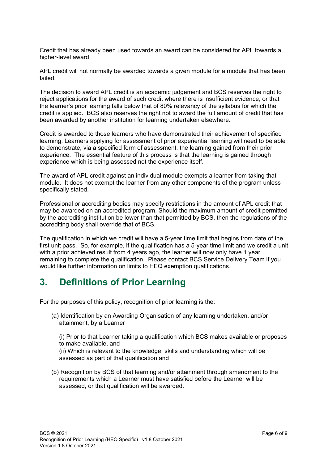Credit that has already been used towards an award can be considered for APL towards a higher-level award.

APL credit will not normally be awarded towards a given module for a module that has been failed.

The decision to award APL credit is an academic judgement and BCS reserves the right to reject applications for the award of such credit where there is insufficient evidence, or that the learner's prior learning falls below that of 80% relevancy of the syllabus for which the credit is applied. BCS also reserves the right not to award the full amount of credit that has been awarded by another institution for learning undertaken elsewhere.

Credit is awarded to those learners who have demonstrated their achievement of specified learning. Learners applying for assessment of prior experiential learning will need to be able to demonstrate, via a specified form of assessment, the learning gained from their prior experience. The essential feature of this process is that the learning is gained through experience which is being assessed not the experience itself.

The award of APL credit against an individual module exempts a learner from taking that module. It does not exempt the learner from any other components of the program unless specifically stated.

Professional or accrediting bodies may specify restrictions in the amount of APL credit that may be awarded on an accredited program. Should the maximum amount of credit permitted by the accrediting institution be lower than that permitted by BCS, then the regulations of the accrediting body shall override that of BCS.

The qualification in which we credit will have a 5-year time limit that begins from date of the first unit pass. So, for example, if the qualification has a 5-year time limit and we credit a unit with a prior achieved result from 4 years ago, the learner will now only have 1 year remaining to complete the qualification. Please contact BCS Service Delivery Team if you would like further information on limits to HEQ exemption qualifications.

# <span id="page-3-0"></span>**3. Definitions of Prior Learning**

For the purposes of this policy, recognition of prior learning is the:

(a) Identification by an Awarding Organisation of any learning undertaken, and/or attainment, by a Learner

(i) Prior to that Learner taking a qualification which BCS makes available or proposes to make available, and

(ii) Which is relevant to the knowledge, skills and understanding which will be assessed as part of that qualification and

(b) Recognition by BCS of that learning and/or attainment through amendment to the requirements which a Learner must have satisfied before the Learner will be assessed, or that qualification will be awarded.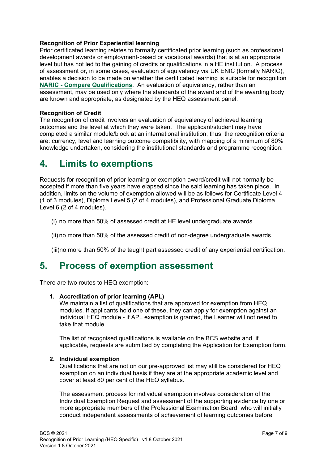### **Recognition of Prior Experiential learning**

Prior certificated learning relates to formally certificated prior learning (such as professional development awards or employment-based or vocational awards) that is at an appropriate level but has not led to the gaining of credits or qualifications in a HE institution. A process of assessment or, in some cases, evaluation of equivalency via UK ENIC (formally NARIC), enables a decision to be made on whether the certificated learning is suitable for recognition **NARIC - [Compare Qualifications](https://www.naric.org.uk/naric/Individuals/Compare%20Qualifications/default.aspx)**. An evaluation of equivalency, rather than an assessment, may be used only where the standards of the award and of the awarding body are known and appropriate, as designated by the HEQ assessment panel.

### **Recognition of Credit**

The recognition of credit involves an evaluation of equivalency of achieved learning outcomes and the level at which they were taken. The applicant/student may have completed a similar module/block at an international institution; thus, the recognition criteria are: currency, level and learning outcome compatibility, with mapping of a minimum of 80% knowledge undertaken, considering the institutional standards and programme recognition.

## <span id="page-4-0"></span>**4. Limits to exemptions**

Requests for recognition of prior learning or exemption award/credit will not normally be accepted if more than five years have elapsed since the said learning has taken place. In addition, limits on the volume of exemption allowed will be as follows for Certificate Level 4 (1 of 3 modules), Diploma Level 5 (2 of 4 modules), and Professional Graduate Diploma Level 6 (2 of 4 modules).

- (i) no more than 50% of assessed credit at HE level undergraduate awards.
- (ii) no more than 50% of the assessed credit of non-degree undergraduate awards.

(iii)no more than 50% of the taught part assessed credit of any experiential certification.

### <span id="page-4-1"></span>**5. Process of exemption assessment**

There are two routes to HEQ exemption:

#### **1. Accreditation of prior learning (APL)**

We maintain a list of qualifications that are approved for exemption from HEQ modules. If applicants hold one of these, they can apply for exemption against an individual HEQ module - if APL exemption is granted, the Learner will not need to take that module.

The list of [recognised qualifications](https://www.bcs.org/media/1181/exemptions-apl-list.pdf) is available on the BCS website and, if applicable, requests are submitted by completing the Application for Exemption form.

### **2. Individual exemption**

Qualifications that are not on our pre-approved list may still be considered for HEQ exemption on an individual basis if they are at the appropriate academic level and cover at least 80 per cent of the HEQ syllabus.

The assessment process for individual exemption involves consideration of the Individual Exemption Request and assessment of the supporting evidence by one or more appropriate members of the Professional Examination Board, who will initially conduct independent assessments of achievement of learning outcomes before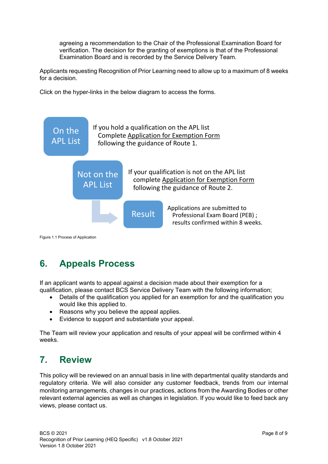agreeing a recommendation to the Chair of the Professional Examination Board for verification. The decision for the granting of exemptions is that of the Professional Examination Board and is recorded by the Service Delivery Team.

Applicants requesting Recognition of Prior Learning need to allow up to a maximum of 8 weeks for a decision.

Click on the hyper-links in the below diagram to access the forms.



Figure 1.1 Process of Application

# <span id="page-5-0"></span>**6. Appeals Process**

If an applicant wants to appeal against a decision made about their exemption for a qualification, please contact BCS Service Delivery Team with the following information;

- Details of the qualification you applied for an exemption for and the qualification you would like this applied to.
- Reasons why you believe the appeal applies.
- Evidence to support and substantiate your appeal.

The Team will review your application and results of your appeal will be confirmed within 4 weeks.

# <span id="page-5-1"></span>**7. Review**

This policy will be reviewed on an annual basis in line with departmental quality standards and regulatory criteria. We will also consider any customer feedback, trends from our internal monitoring arrangements, changes in our practices, actions from the Awarding Bodies or other relevant external agencies as well as changes in legislation. If you would like to feed back any views, please contact us.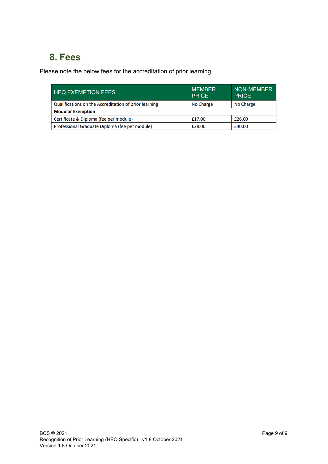# **8. Fees**

Please note the below fees for the accreditation of prior learning.

| <b>HEQ EXEMPTION FEES</b>                             | <b>MEMBER</b><br><b>PRICE</b> | NON-MEMBER<br><b>PRICE</b> |  |  |
|-------------------------------------------------------|-------------------------------|----------------------------|--|--|
| Qualifications on the Accreditation of prior learning | No Charge                     | No Charge                  |  |  |
| <b>Modular Exemption</b>                              |                               |                            |  |  |
| Certificate & Diploma (fee per module)                | £17.00                        | £26.00                     |  |  |
| Professional Graduate Diploma (fee per module)        | £28.00                        | £40.00                     |  |  |